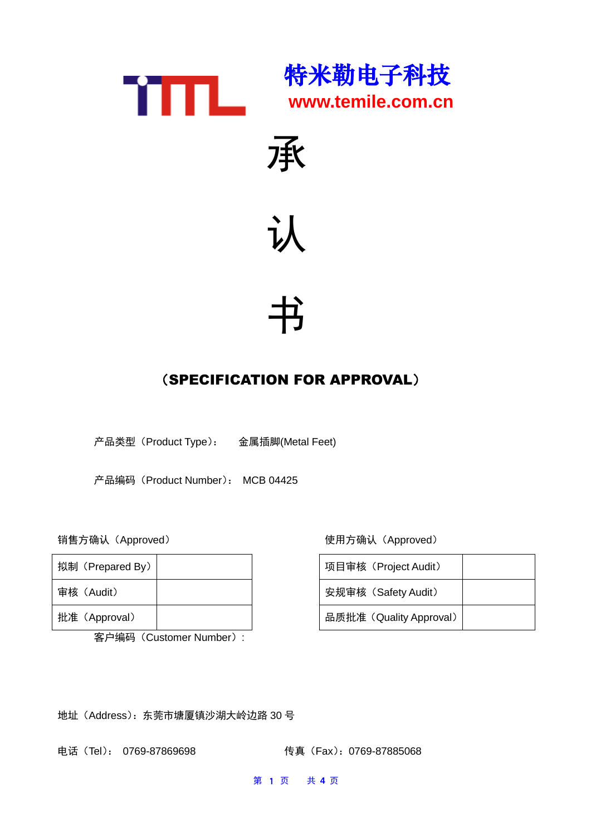





# 书

# (SPECIFICATION FOR APPROVAL)

产品类型(Product Type): 金属插脚(Metal Feet)

产品编码(Product Number): MCB 04425

| 拟制 (Prepared By) |                                                                                                                                                                                                                                                                                                                                                                                      | 项目审核 (Project Audit)    |
|------------------|--------------------------------------------------------------------------------------------------------------------------------------------------------------------------------------------------------------------------------------------------------------------------------------------------------------------------------------------------------------------------------------|-------------------------|
| 审核(Audit)        |                                                                                                                                                                                                                                                                                                                                                                                      | 安规审核 (Safety Audit)     |
| 批准 (Approval)    |                                                                                                                                                                                                                                                                                                                                                                                      | 品质批准 (Quality Approval) |
|                  | $\overline{F}$ $\overline{F}$ $\overline{F}$ $\overline{F}$ $\overline{F}$ $\overline{F}$ $\overline{F}$ $\overline{F}$ $\overline{F}$ $\overline{F}$ $\overline{F}$ $\overline{F}$ $\overline{F}$ $\overline{F}$ $\overline{F}$ $\overline{F}$ $\overline{F}$ $\overline{F}$ $\overline{F}$ $\overline{F}$ $\overline{F}$ $\overline{F}$ $\overline{F}$ $\overline{F}$ $\overline{$ |                         |

客户编码(Customer Number):

销售方确认(Approved) 使用方确认(Approved)

| 项目审核 (Project Audit)    |  |
|-------------------------|--|
| 安规审核 (Safety Audit)     |  |
| 品质批准 (Quality Approval) |  |

地址(Address):东莞市塘厦镇沙湖大岭边路 30 号

电话(Tel): 0769-87869698 传真(Fax):0769-87885068

第 1 页 共 **4** 页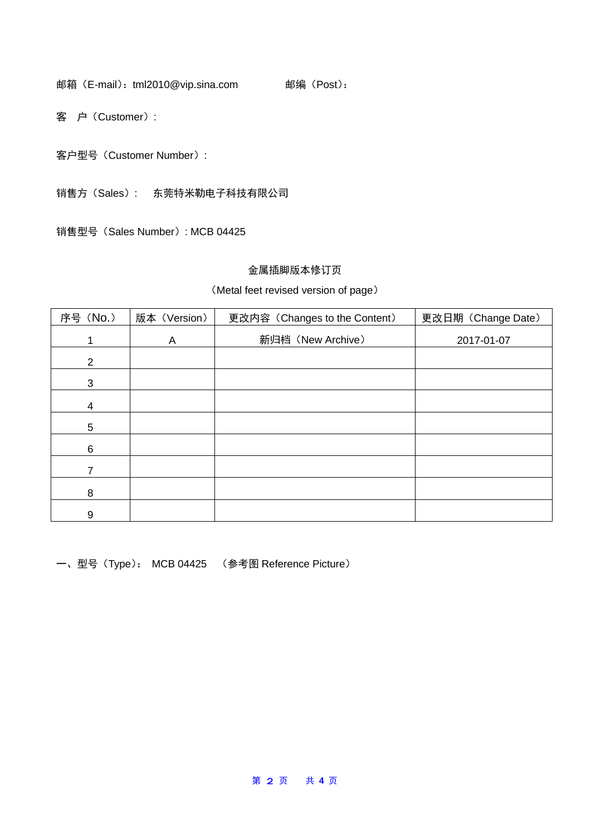邮箱(E-mail): tml2010@vip.sina.com 邮编(Post):

客 户(Customer):

客户型号(Customer Number):

销售方(Sales): 东莞特米勒电子科技有限公司

销售型号(Sales Number): MCB 04425

#### 金属插脚版本修订页

#### (Metal feet revised version of page)

| 序号 (No.)       | 版本 (Version) | 更改内容 (Changes to the Content) | 更改日期 (Change Date) |  |
|----------------|--------------|-------------------------------|--------------------|--|
|                | A            | 新归档 (New Archive)             | 2017-01-07         |  |
| $\overline{2}$ |              |                               |                    |  |
| $\sqrt{3}$     |              |                               |                    |  |
| 4              |              |                               |                    |  |
| 5              |              |                               |                    |  |
| 6              |              |                               |                    |  |
| 7              |              |                               |                    |  |
| 8              |              |                               |                    |  |
| 9              |              |                               |                    |  |

一、型号(Type): MCB 04425 (参考图 Reference Picture)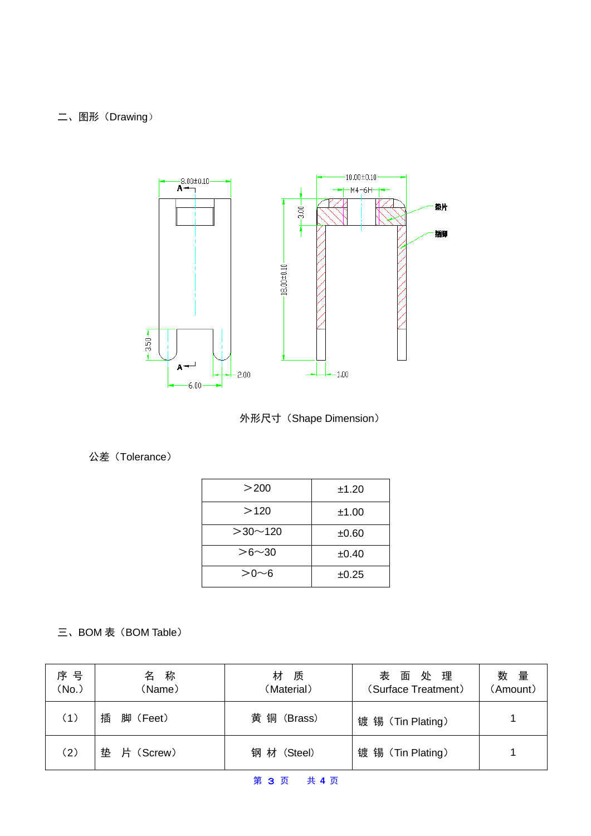## 二、图形 (Drawing)



外形尺寸(Shape Dimension)

### 公差(Tolerance)

| >200             | ±1.20 |
|------------------|-------|
| >120             | ±1.00 |
| $>30$ $\sim$ 120 | ±0.60 |
| $> 6 \sim 30$    | ±0.40 |
| >Ո∼ճ             | ±0.25 |

三、BOM 表 (BOM Table)

| 序 号<br>(No.) | 名 称<br>(Name) | 材<br>质<br>(Material) | 表面处理<br>(Surface Treatment) | 数量<br>(Amount) |
|--------------|---------------|----------------------|-----------------------------|----------------|
| (1)          | 插<br>脚(Feet)  | 黄 铜 (Brass)          | 镀 锡 (Tin Plating)           |                |
| (2)          | 垫<br>片(Screw) | 钢 材 (Steel)          | 镀 锡 (Tin Plating)           |                |

第 3 页 共 **4** 页